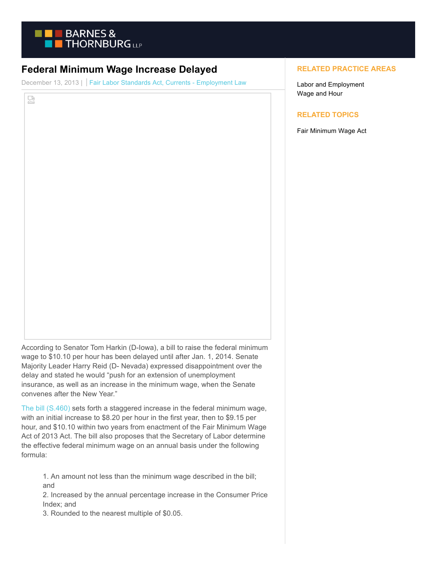

## **Federal Minimum Wage Increase Delayed**

December 13, 2013 | Fair Labor Standards Act, Currents - Employment Law

덣

According to Senator Tom Harkin (D-Iowa), a bill to raise the federal minimum wage to \$10.10 per hour has been delayed until after Jan. 1, 2014. Senate Majority Leader Harry Reid (D- Nevada) expressed disappointment over the delay and stated he would "push for an extension of unemployment insurance, as well as an increase in the minimum wage, when the Senate convenes after the New Year."

[The bill \(S.460\)](http://op.bna.com/dlrcases.nsf/id/kpin-9eavdd/$File/S.%20460.pdf) sets forth a staggered increase in the federal minimum wage, with an initial increase to \$8.20 per hour in the first year, then to \$9.15 per hour, and \$10.10 within two years from enactment of the Fair Minimum Wage Act of 2013 Act. The bill also proposes that the Secretary of Labor determine the effective federal minimum wage on an annual basis under the following formula:

1. An amount not less than the minimum wage described in the bill; and

2. Increased by the annual percentage increase in the Consumer Price Index; and

3. Rounded to the nearest multiple of \$0.05.

## **RELATED PRACTICE AREAS**

Labor and Employment Wage and Hour

## **RELATED TOPICS**

Fair Minimum Wage Act